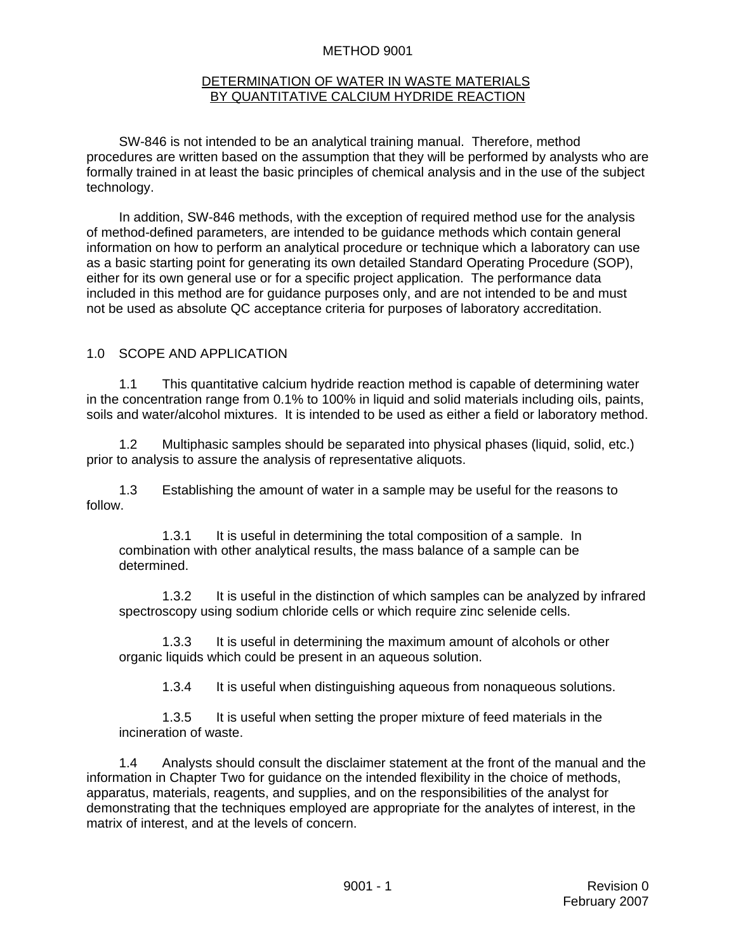#### METHOD 9001

#### DETERMINATION OF WATER IN WASTE MATERIALS BY QUANTITATIVE CALCIUM HYDRIDE REACTION

SW-846 is not intended to be an analytical training manual. Therefore, method procedures are written based on the assumption that they will be performed by analysts who are formally trained in at least the basic principles of chemical analysis and in the use of the subject technology.

In addition, SW-846 methods, with the exception of required method use for the analysis of method-defined parameters, are intended to be guidance methods which contain general information on how to perform an analytical procedure or technique which a laboratory can use as a basic starting point for generating its own detailed Standard Operating Procedure (SOP), either for its own general use or for a specific project application. The performance data included in this method are for guidance purposes only, and are not intended to be and must not be used as absolute QC acceptance criteria for purposes of laboratory accreditation.

### 1.0 SCOPE AND APPLICATION

1.1 This quantitative calcium hydride reaction method is capable of determining water in the concentration range from 0.1% to 100% in liquid and solid materials including oils, paints, soils and water/alcohol mixtures. It is intended to be used as either a field or laboratory method.

1.2 Multiphasic samples should be separated into physical phases (liquid, solid, etc.) prior to analysis to assure the analysis of representative aliquots.

1.3 Establishing the amount of water in a sample may be useful for the reasons to follow.

1.3.1 It is useful in determining the total composition of a sample. In combination with other analytical results, the mass balance of a sample can be determined.

1.3.2 It is useful in the distinction of which samples can be analyzed by infrared spectroscopy using sodium chloride cells or which require zinc selenide cells.

1.3.3 It is useful in determining the maximum amount of alcohols or other organic liquids which could be present in an aqueous solution.

1.3.4 It is useful when distinguishing aqueous from nonaqueous solutions.

1.3.5 It is useful when setting the proper mixture of feed materials in the incineration of waste.

1.4 Analysts should consult the disclaimer statement at the front of the manual and the information in Chapter Two for guidance on the intended flexibility in the choice of methods, apparatus, materials, reagents, and supplies, and on the responsibilities of the analyst for demonstrating that the techniques employed are appropriate for the analytes of interest, in the matrix of interest, and at the levels of concern.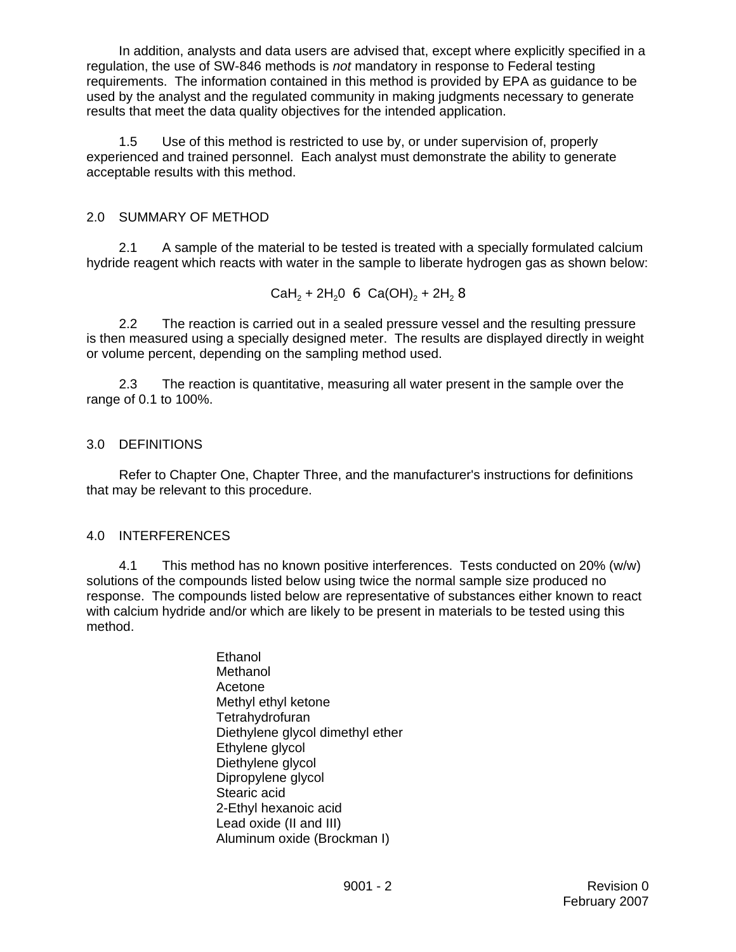In addition, analysts and data users are advised that, except where explicitly specified in a regulation, the use of SW-846 methods is *not* mandatory in response to Federal testing requirements. The information contained in this method is provided by EPA as guidance to be used by the analyst and the regulated community in making judgments necessary to generate results that meet the data quality objectives for the intended application.

1.5 Use of this method is restricted to use by, or under supervision of, properly experienced and trained personnel. Each analyst must demonstrate the ability to generate acceptable results with this method.

### 2.0 SUMMARY OF METHOD

2.1 A sample of the material to be tested is treated with a specially formulated calcium hydride reagent which reacts with water in the sample to liberate hydrogen gas as shown below:

 $CaH<sub>2</sub> + 2H<sub>2</sub>0 \t6 Ca(OH)<sub>2</sub> + 2H<sub>2</sub> 8$ 

2.2 The reaction is carried out in a sealed pressure vessel and the resulting pressure is then measured using a specially designed meter. The results are displayed directly in weight or volume percent, depending on the sampling method used.

2.3 The reaction is quantitative, measuring all water present in the sample over the range of 0.1 to 100%.

### 3.0 DEFINITIONS

Refer to Chapter One, Chapter Three, and the manufacturer's instructions for definitions that may be relevant to this procedure.

### 4.0 INTERFERENCES

4.1 This method has no known positive interferences. Tests conducted on 20% (w/w) solutions of the compounds listed below using twice the normal sample size produced no response. The compounds listed below are representative of substances either known to react with calcium hydride and/or which are likely to be present in materials to be tested using this method.

> Ethanol Methanol Acetone Methyl ethyl ketone **Tetrahydrofuran** Diethylene glycol dimethyl ether Ethylene glycol Diethylene glycol Dipropylene glycol Stearic acid 2-Ethyl hexanoic acid Lead oxide (II and III) Aluminum oxide (Brockman I)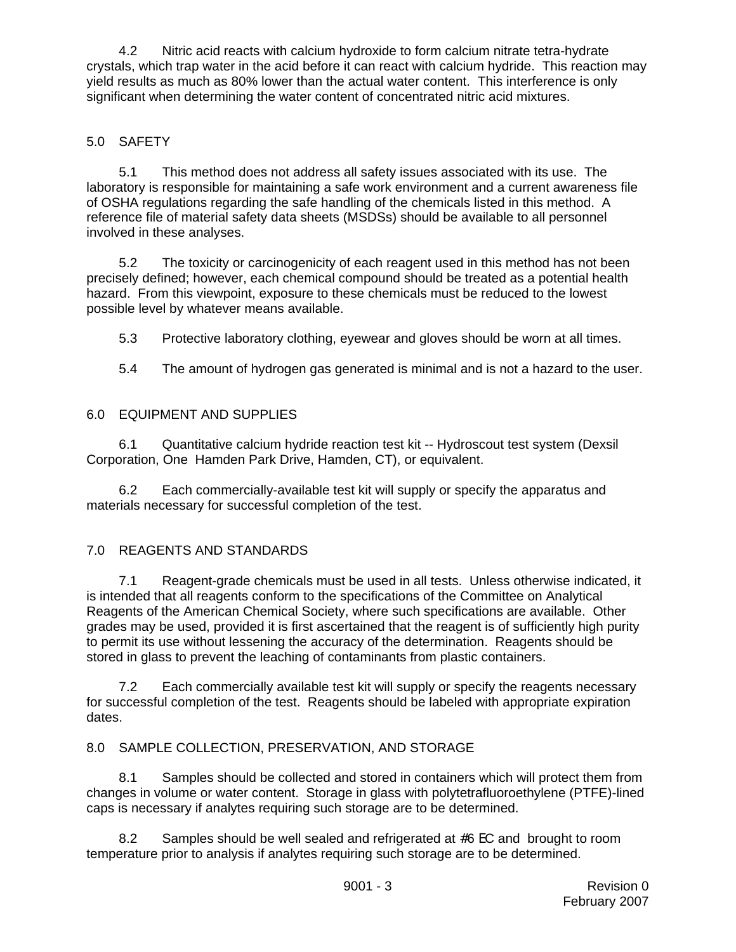4.2 Nitric acid reacts with calcium hydroxide to form calcium nitrate tetra-hydrate crystals, which trap water in the acid before it can react with calcium hydride. This reaction may yield results as much as 80% lower than the actual water content. This interference is only significant when determining the water content of concentrated nitric acid mixtures.

# 5.0 SAFETY

5.1 This method does not address all safety issues associated with its use. The laboratory is responsible for maintaining a safe work environment and a current awareness file of OSHA regulations regarding the safe handling of the chemicals listed in this method. A reference file of material safety data sheets (MSDSs) should be available to all personnel involved in these analyses.

5.2 The toxicity or carcinogenicity of each reagent used in this method has not been precisely defined; however, each chemical compound should be treated as a potential health hazard. From this viewpoint, exposure to these chemicals must be reduced to the lowest possible level by whatever means available.

5.3 Protective laboratory clothing, eyewear and gloves should be worn at all times.

5.4 The amount of hydrogen gas generated is minimal and is not a hazard to the user.

# 6.0 EQUIPMENT AND SUPPLIES

6.1 Quantitative calcium hydride reaction test kit -- Hydroscout test system (Dexsil Corporation, One Hamden Park Drive, Hamden, CT), or equivalent.

6.2 Each commercially-available test kit will supply or specify the apparatus and materials necessary for successful completion of the test.

# 7.0 REAGENTS AND STANDARDS

7.1 Reagent-grade chemicals must be used in all tests. Unless otherwise indicated, it is intended that all reagents conform to the specifications of the Committee on Analytical Reagents of the American Chemical Society, where such specifications are available. Other grades may be used, provided it is first ascertained that the reagent is of sufficiently high purity to permit its use without lessening the accuracy of the determination. Reagents should be stored in glass to prevent the leaching of contaminants from plastic containers.

7.2 Each commercially available test kit will supply or specify the reagents necessary for successful completion of the test. Reagents should be labeled with appropriate expiration dates.

# 8.0 SAMPLE COLLECTION, PRESERVATION, AND STORAGE

8.1 Samples should be collected and stored in containers which will protect them from changes in volume or water content. Storage in glass with polytetrafluoroethylene (PTFE)-lined caps is necessary if analytes requiring such storage are to be determined.

8.2 Samples should be well sealed and refrigerated at  $#6$  EC and brought to room temperature prior to analysis if analytes requiring such storage are to be determined.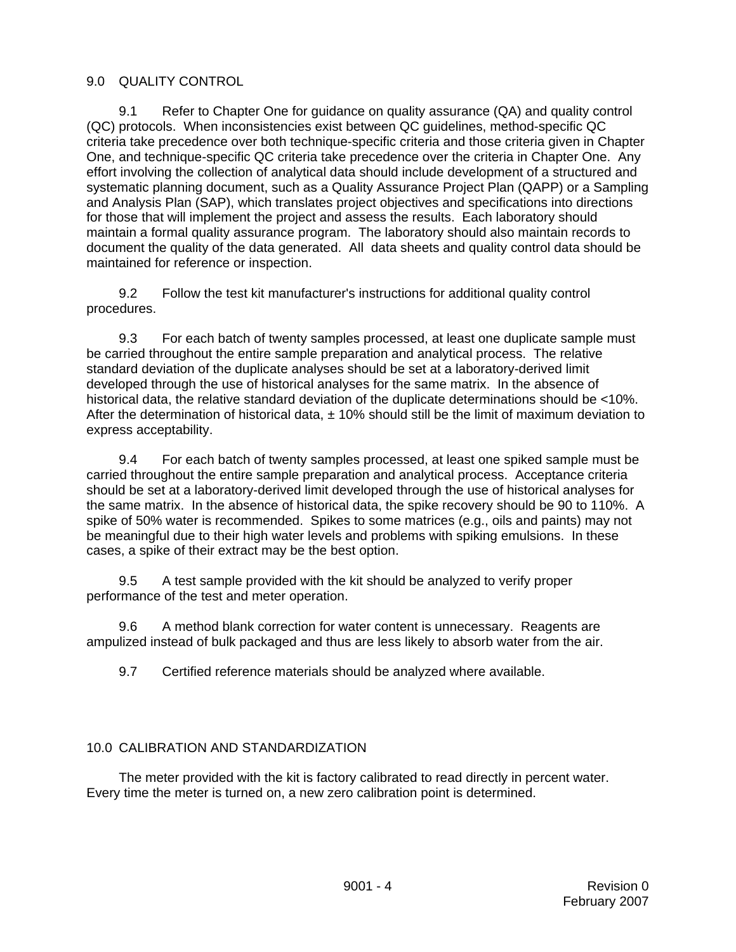### 9.0 QUALITY CONTROL

9.1 Refer to Chapter One for guidance on quality assurance (QA) and quality control (QC) protocols. When inconsistencies exist between QC guidelines, method-specific QC criteria take precedence over both technique-specific criteria and those criteria given in Chapter One, and technique-specific QC criteria take precedence over the criteria in Chapter One. Any effort involving the collection of analytical data should include development of a structured and systematic planning document, such as a Quality Assurance Project Plan (QAPP) or a Sampling and Analysis Plan (SAP), which translates project objectives and specifications into directions for those that will implement the project and assess the results. Each laboratory should maintain a formal quality assurance program. The laboratory should also maintain records to document the quality of the data generated. All data sheets and quality control data should be maintained for reference or inspection.

9.2 Follow the test kit manufacturer's instructions for additional quality control procedures.

9.3 For each batch of twenty samples processed, at least one duplicate sample must be carried throughout the entire sample preparation and analytical process. The relative standard deviation of the duplicate analyses should be set at a laboratory-derived limit developed through the use of historical analyses for the same matrix. In the absence of historical data, the relative standard deviation of the duplicate determinations should be <10%. After the determination of historical data,  $\pm$  10% should still be the limit of maximum deviation to express acceptability.

9.4 For each batch of twenty samples processed, at least one spiked sample must be carried throughout the entire sample preparation and analytical process. Acceptance criteria should be set at a laboratory-derived limit developed through the use of historical analyses for the same matrix. In the absence of historical data, the spike recovery should be 90 to 110%. A spike of 50% water is recommended. Spikes to some matrices (e.g., oils and paints) may not be meaningful due to their high water levels and problems with spiking emulsions. In these cases, a spike of their extract may be the best option.

9.5 A test sample provided with the kit should be analyzed to verify proper performance of the test and meter operation.

9.6 A method blank correction for water content is unnecessary. Reagents are ampulized instead of bulk packaged and thus are less likely to absorb water from the air.

9.7 Certified reference materials should be analyzed where available.

# 10.0 CALIBRATION AND STANDARDIZATION

The meter provided with the kit is factory calibrated to read directly in percent water. Every time the meter is turned on, a new zero calibration point is determined.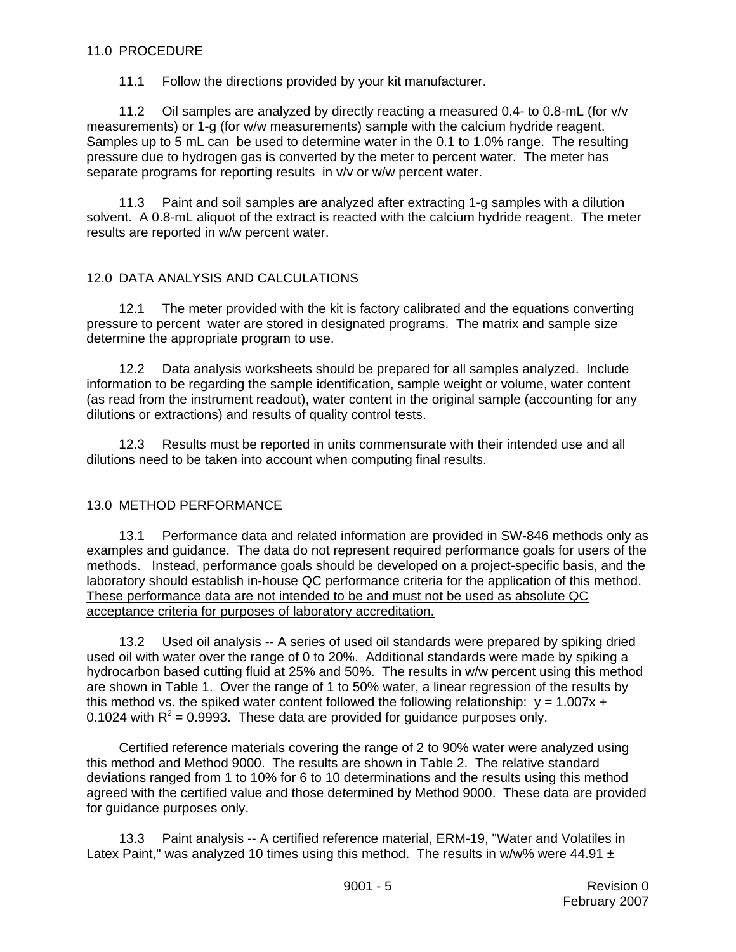#### 11.0 PROCEDURE

11.1 Follow the directions provided by your kit manufacturer.

11.2 Oil samples are analyzed by directly reacting a measured 0.4- to 0.8-mL (for  $v/v$ measurements) or 1-g (for w/w measurements) sample with the calcium hydride reagent. Samples up to 5 mL can be used to determine water in the 0.1 to 1.0% range. The resulting pressure due to hydrogen gas is converted by the meter to percent water. The meter has separate programs for reporting results in  $v/v$  or w/w percent water.

11.3 Paint and soil samples are analyzed after extracting 1-g samples with a dilution solvent. A 0.8-mL aliquot of the extract is reacted with the calcium hydride reagent. The meter results are reported in w/w percent water.

### 12.0 DATA ANALYSIS AND CALCULATIONS

12.1 The meter provided with the kit is factory calibrated and the equations converting pressure to percent water are stored in designated programs. The matrix and sample size determine the appropriate program to use.

12.2 Data analysis worksheets should be prepared for all samples analyzed. Include information to be regarding the sample identification, sample weight or volume, water content (as read from the instrument readout), water content in the original sample (accounting for any dilutions or extractions) and results of quality control tests.

12.3 Results must be reported in units commensurate with their intended use and all dilutions need to be taken into account when computing final results.

### 13.0 METHOD PERFORMANCE

13.1 Performance data and related information are provided in SW-846 methods only as examples and guidance. The data do not represent required performance goals for users of the methods. Instead, performance goals should be developed on a project-specific basis, and the laboratory should establish in-house QC performance criteria for the application of this method. These performance data are not intended to be and must not be used as absolute QC acceptance criteria for purposes of laboratory accreditation.

13.2 Used oil analysis -- A series of used oil standards were prepared by spiking dried used oil with water over the range of 0 to 20%. Additional standards were made by spiking a hydrocarbon based cutting fluid at 25% and 50%. The results in w/w percent using this method are shown in Table 1. Over the range of 1 to 50% water, a linear regression of the results by this method vs. the spiked water content followed the following relationship:  $y = 1.007x +$ 0.1024 with  $R^2$  = 0.9993. These data are provided for guidance purposes only.

Certified reference materials covering the range of 2 to 90% water were analyzed using this method and Method 9000. The results are shown in Table 2. The relative standard deviations ranged from 1 to 10% for 6 to 10 determinations and the results using this method agreed with the certified value and those determined by Method 9000. These data are provided for guidance purposes only.

13.3 Paint analysis -- A certified reference material, ERM-19, "Water and Volatiles in Latex Paint," was analyzed 10 times using this method. The results in w/w% were 44.91  $\pm$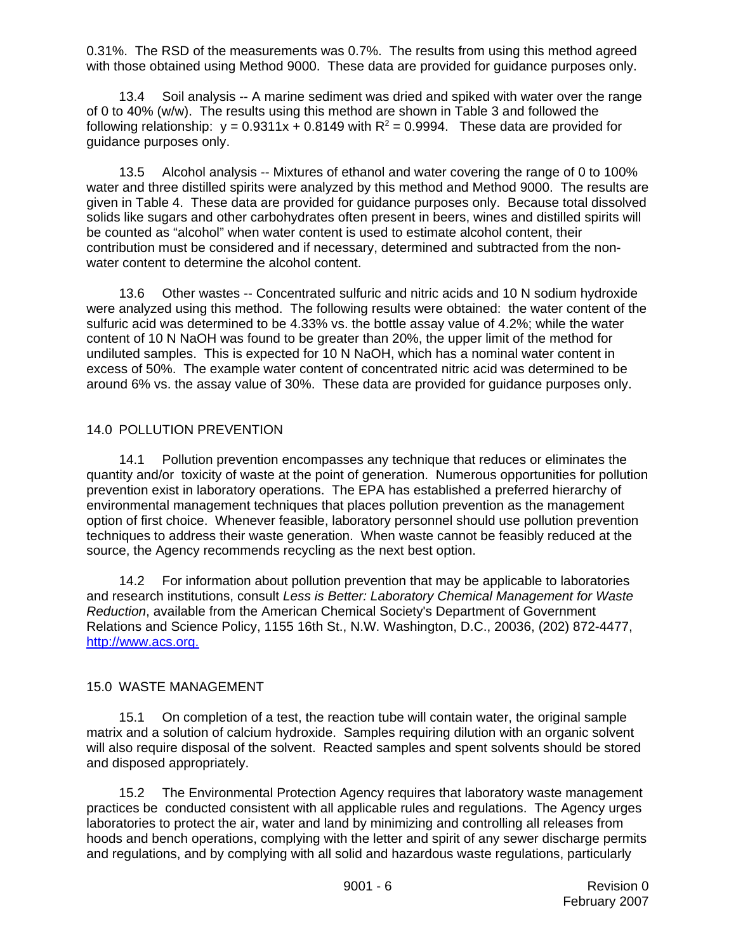0.31%. The RSD of the measurements was 0.7%. The results from using this method agreed with those obtained using Method 9000. These data are provided for guidance purposes only.

13.4 Soil analysis -- A marine sediment was dried and spiked with water over the range of 0 to 40% (w/w). The results using this method are shown in Table 3 and followed the following relationship:  $y = 0.9311x + 0.8149$  with  $R^2 = 0.9994$ . These data are provided for guidance purposes only.

13.5 Alcohol analysis -- Mixtures of ethanol and water covering the range of 0 to 100% water and three distilled spirits were analyzed by this method and Method 9000. The results are given in Table 4. These data are provided for guidance purposes only. Because total dissolved solids like sugars and other carbohydrates often present in beers, wines and distilled spirits will be counted as "alcohol" when water content is used to estimate alcohol content, their contribution must be considered and if necessary, determined and subtracted from the nonwater content to determine the alcohol content.

13.6 Other wastes -- Concentrated sulfuric and nitric acids and 10 N sodium hydroxide were analyzed using this method. The following results were obtained: the water content of the sulfuric acid was determined to be 4.33% vs. the bottle assay value of 4.2%; while the water content of 10 N NaOH was found to be greater than 20%, the upper limit of the method for undiluted samples. This is expected for 10 N NaOH, which has a nominal water content in excess of 50%. The example water content of concentrated nitric acid was determined to be around 6% vs. the assay value of 30%. These data are provided for guidance purposes only.

### 14.0 POLLUTION PREVENTION

14.1 Pollution prevention encompasses any technique that reduces or eliminates the quantity and/or toxicity of waste at the point of generation. Numerous opportunities for pollution prevention exist in laboratory operations. The EPA has established a preferred hierarchy of environmental management techniques that places pollution prevention as the management option of first choice. Whenever feasible, laboratory personnel should use pollution prevention techniques to address their waste generation. When waste cannot be feasibly reduced at the source, the Agency recommends recycling as the next best option.

14.2 For information about pollution prevention that may be applicable to laboratories and research institutions, consult *Less is Better: Laboratory Chemical Management for Waste Reduction*, available from the American Chemical Society's Department of Government Relations and Science Policy, 1155 16th St., N.W. Washington, D.C., 20036, (202) 872-4477, http://www.acs.org.

### 15.0 WASTE MANAGEMENT

15.1 On completion of a test, the reaction tube will contain water, the original sample matrix and a solution of calcium hydroxide. Samples requiring dilution with an organic solvent will also require disposal of the solvent. Reacted samples and spent solvents should be stored and disposed appropriately.

15.2 The Environmental Protection Agency requires that laboratory waste management practices be conducted consistent with all applicable rules and regulations. The Agency urges laboratories to protect the air, water and land by minimizing and controlling all releases from hoods and bench operations, complying with the letter and spirit of any sewer discharge permits and regulations, and by complying with all solid and hazardous waste regulations, particularly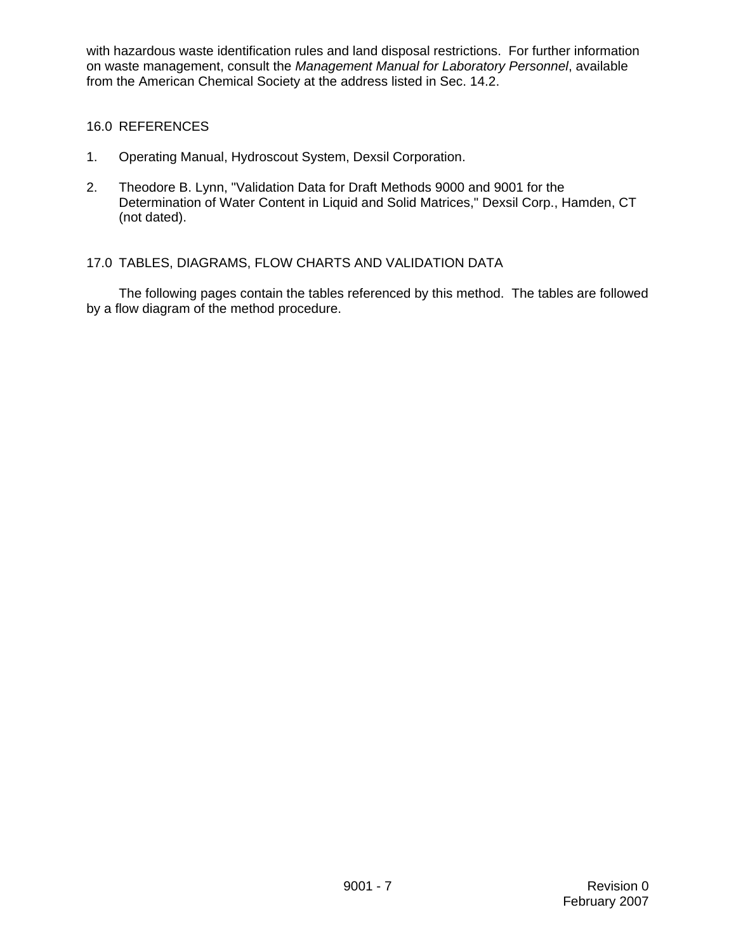with hazardous waste identification rules and land disposal restrictions. For further information on waste management, consult the *Management Manual for Laboratory Personnel*, available from the American Chemical Society at the address listed in Sec. 14.2.

### 16.0 REFERENCES

- 1. Operating Manual, Hydroscout System, Dexsil Corporation.
- 2. Theodore B. Lynn, "Validation Data for Draft Methods 9000 and 9001 for the Determination of Water Content in Liquid and Solid Matrices," Dexsil Corp., Hamden, CT (not dated).

### 17.0 TABLES, DIAGRAMS, FLOW CHARTS AND VALIDATION DATA

The following pages contain the tables referenced by this method. The tables are followed by a flow diagram of the method procedure.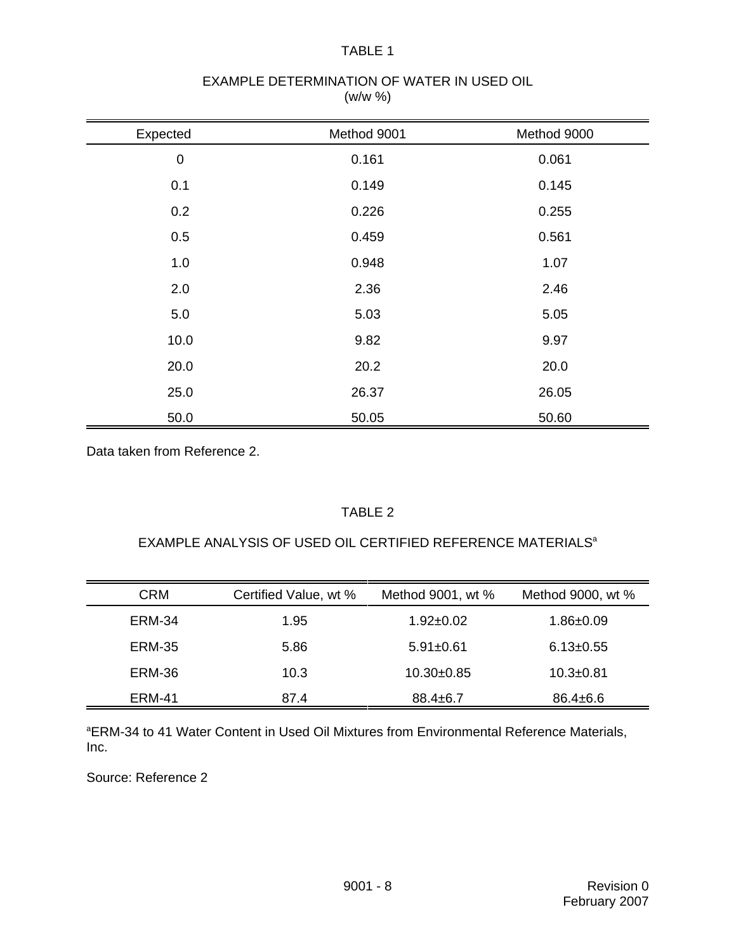#### TABLE 1

#### EXAMPLE DETERMINATION OF WATER IN USED OIL (w/w %)

| Expected    | Method 9001 | Method 9000 |
|-------------|-------------|-------------|
| $\mathbf 0$ | 0.161       | 0.061       |
| 0.1         | 0.149       | 0.145       |
| 0.2         | 0.226       | 0.255       |
| 0.5         | 0.459       | 0.561       |
| 1.0         | 0.948       | 1.07        |
| 2.0         | 2.36        | 2.46        |
| 5.0         | 5.03        | 5.05        |
| 10.0        | 9.82        | 9.97        |
| 20.0        | 20.2        | 20.0        |
| 25.0        | 26.37       | 26.05       |
| 50.0        | 50.05       | 50.60       |

Data taken from Reference 2.

# TABLE 2

### EXAMPLE ANALYSIS OF USED OIL CERTIFIED REFERENCE MATERIALS<sup>a</sup>

| <b>CRM</b>    | Certified Value, wt % | Method 9001, wt % | Method 9000, wt % |
|---------------|-----------------------|-------------------|-------------------|
| ERM-34        | 1.95                  | $1.92 \pm 0.02$   | $1.86 \pm 0.09$   |
| <b>ERM-35</b> | 5.86                  | $5.91 \pm 0.61$   | $6.13 \pm 0.55$   |
| ERM-36        | 10.3                  | $10.30+0.85$      | $10.3 + 0.81$     |
| ERM-41        | 87.4                  | $88.4 \pm 6.7$    | $86.4 \pm 6.6$    |

<sup>a</sup>ERM-34 to 41 Water Content in Used Oil Mixtures from Environmental Reference Materials, Inc.

Source: Reference 2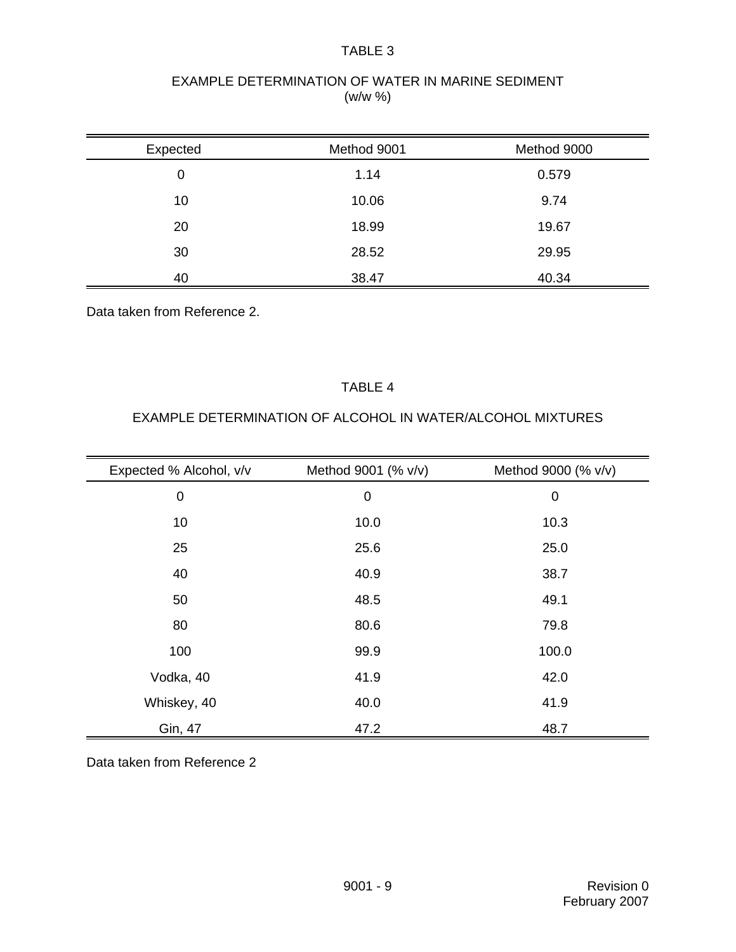#### TABLE 3

### EXAMPLE DETERMINATION OF WATER IN MARINE SEDIMENT (w/w %)

| Expected | Method 9001 | Method 9000 |
|----------|-------------|-------------|
| 0        | 1.14        | 0.579       |
| 10       | 10.06       | 9.74        |
| 20       | 18.99       | 19.67       |
| 30       | 28.52       | 29.95       |
| 40       | 38.47       | 40.34       |

Data taken from Reference 2.

### TABLE 4

# EXAMPLE DETERMINATION OF ALCOHOL IN WATER/ALCOHOL MIXTURES

| Expected % Alcohol, v/v | Method 9001 (% v/v) | Method 9000 (% v/v) |
|-------------------------|---------------------|---------------------|
| $\mathbf 0$             | $\mathbf 0$         | $\mathbf 0$         |
| 10                      | 10.0                | 10.3                |
| 25                      | 25.6                | 25.0                |
| 40                      | 40.9                | 38.7                |
| 50                      | 48.5                | 49.1                |
| 80                      | 80.6                | 79.8                |
| 100                     | 99.9                | 100.0               |
| Vodka, 40               | 41.9                | 42.0                |
| Whiskey, 40             | 40.0                | 41.9                |
| Gin, 47                 | 47.2                | 48.7                |

Data taken from Reference 2